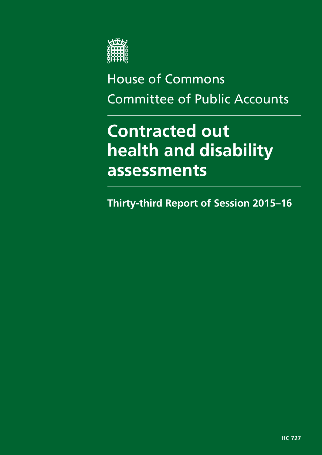

# House of Commons Committee of Public Accounts

# **Contracted out health and disability assessments**

**Thirty-third Report of Session 2015–16**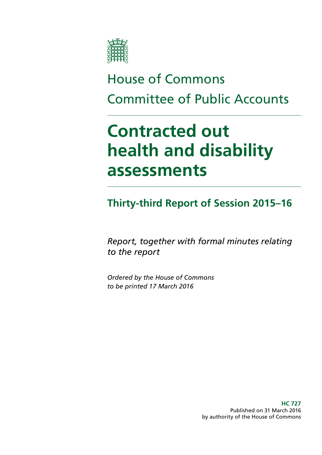

# House of Commons Committee of Public Accounts

# **Contracted out health and disability assessments**

**Thirty-third Report of Session 2015–16**

*Report, together with formal minutes relating to the report*

*Ordered by the House of Commons to be printed 17 March 2016*

> **HC 727** Published on 31 March 2016 by authority of the House of Commons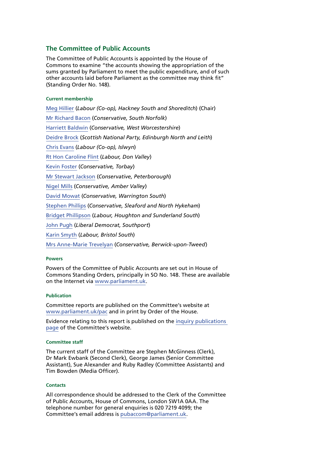### **The Committee of Public Accounts**

The Committee of Public Accounts is appointed by the House of Commons to examine "the accounts showing the appropriation of the sums granted by Parliament to meet the public expenditure, and of such other accounts laid before Parliament as the committee may think fit" (Standing Order No. 148).

#### **Current membership**

[Meg Hillier](http://www.parliament.uk/biographies/commons/meg-hillier/1524) (*Labour (Co-op), Hackney South and Shoreditch*) (Chair) [Mr Richard Bacon](http://www.parliament.uk/biographies/commons/mr-richard-bacon/1451) (*Conservative, South Norfolk*) [Harriett Baldwin](http://www.parliament.uk/biographies/commons/harriett-baldwin/4107) (*Conservative, West Worcestershire*) [Deidre Brock](http://www.parliament.uk/biographies/commons/deidre-brock/4417) (*Scottish National Party, Edinburgh North and Leith*) [Chris Evans](http://www.parliament.uk/biographies/commons/chris-evans/4040) (*Labour (Co-op), Islwyn*) [Rt Hon Caroline Flint](http://www.parliament.uk/biographies/commons/caroline-flint/389) (*Labour, Don Valley*) [Kevin Foster](http://www.parliament.uk/biographies/commons/kevin-foster/4451) (*Conservative, Torbay*) [Mr Stewart Jackson](http://www.parliament.uk/biographies/commons/mr-stewart-jackson/1551) (*Conservative, Peterborough*) [Nigel Mills](http://www.parliament.uk/biographies/commons/nigel-mills/4136) (*Conservative, Amber Valley*) [David Mowat](http://www.parliament.uk/biographies/commons/david-mowat/4080) (*Conservative, Warrington South*) [Stephen Phillips](http://www.parliament.uk/biographies/commons/stephen-phillips/4054) (*Conservative, Sleaford and North Hykeham*) [Bridget Phillipson](http://www.parliament.uk/biographies/commons/bridget-phillipson/4046) (*Labour, Houghton and Sunderland South*) [John Pugh](http://www.parliament.uk/biographies/commons/john-pugh/1454) (*Liberal Democrat, Southport*) [Karin Smyth](http://www.parliament.uk/biographies/commons/karin-smyth/4444) (*Labour, Bristol South*) [Mrs Anne-Marie Trevelyan](http://www.parliament.uk/biographies/commons/mrs-anne-marie-trevelyan/4531) (*Conservative, Berwick-upon-Tweed*)

#### **Powers**

Powers of the Committee of Public Accounts are set out in House of Commons Standing Orders, principally in SO No. 148. These are available on the Internet via [www.parliament.uk.](http://www.parliament.uk)

#### **Publication**

Committee reports are published on the Committee's website at [www.parliament.uk/pac](http://www.parliament.uk/pac) and in print by Order of the House.

Evidence relating to this report is published on the [inquiry publications](http://www.parliament.uk/business/committees/committees-a-z/commons-select/public-accounts-committee/inquiries/parliament-2015/contracted-out-health-disability-assessments-15-16/)  [page](http://www.parliament.uk/business/committees/committees-a-z/commons-select/public-accounts-committee/inquiries/parliament-2015/contracted-out-health-disability-assessments-15-16/) of the Committee's website.

#### **Committee staff**

The current staff of the Committee are Stephen McGinness (Clerk), Dr Mark Ewbank (Second Clerk), George James (Senior Committee Assistant), Sue Alexander and Ruby Radley (Committee Assistants) and Tim Bowden (Media Officer).

#### **Contacts**

All correspondence should be addressed to the Clerk of the Committee of Public Accounts, House of Commons, London SW1A 0AA. The telephone number for general enquiries is 020 7219 4099; the Committee's email address is [pubaccom@parliament.uk.](mailto:pubaccom@parliament.uk)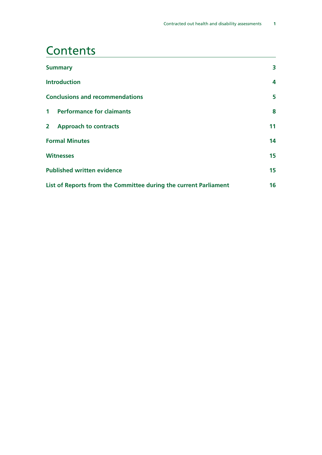### **Contents**

| <b>Summary</b>                                                   |    |
|------------------------------------------------------------------|----|
| <b>Introduction</b>                                              | 4  |
| <b>Conclusions and recommendations</b>                           | 5  |
| <b>Performance for claimants</b><br>1 <sup>1</sup>               | 8  |
| $\mathbf{2}$<br><b>Approach to contracts</b>                     | 11 |
| <b>Formal Minutes</b>                                            | 14 |
| <b>Witnesses</b>                                                 | 15 |
| <b>Published written evidence</b>                                | 15 |
| List of Reports from the Committee during the current Parliament |    |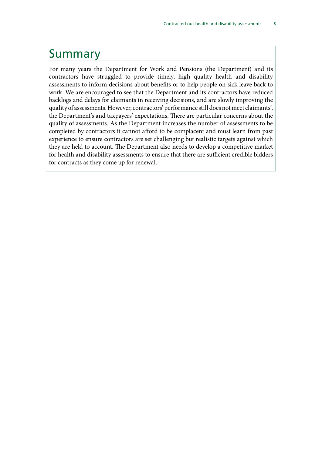### <span id="page-6-0"></span>Summary

For many years the Department for Work and Pensions (the Department) and its contractors have struggled to provide timely, high quality health and disability assessments to inform decisions about benefits or to help people on sick leave back to work. We are encouraged to see that the Department and its contractors have reduced backlogs and delays for claimants in receiving decisions, and are slowly improving the quality of assessments. However, contractors' performance still does not meet claimants', the Department's and taxpayers' expectations. There are particular concerns about the quality of assessments. As the Department increases the number of assessments to be completed by contractors it cannot afford to be complacent and must learn from past experience to ensure contractors are set challenging but realistic targets against which they are held to account. The Department also needs to develop a competitive market for health and disability assessments to ensure that there are sufficient credible bidders for contracts as they come up for renewal.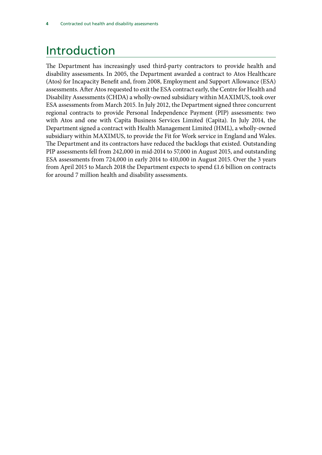## <span id="page-7-0"></span>Introduction

The Department has increasingly used third-party contractors to provide health and disability assessments. In 2005, the Department awarded a contract to Atos Healthcare (Atos) for Incapacity Benefit and, from 2008, Employment and Support Allowance (ESA) assessments. After Atos requested to exit the ESA contract early, the Centre for Health and Disability Assessments (CHDA) a wholly-owned subsidiary within MAXIMUS, took over ESA assessments from March 2015. In July 2012, the Department signed three concurrent regional contracts to provide Personal Independence Payment (PIP) assessments: two with Atos and one with Capita Business Services Limited (Capita). In July 2014, the Department signed a contract with Health Management Limited (HML), a wholly-owned subsidiary within MAXIMUS, to provide the Fit for Work service in England and Wales. The Department and its contractors have reduced the backlogs that existed. Outstanding PIP assessments fell from 242,000 in mid-2014 to 57,000 in August 2015, and outstanding ESA assessments from 724,000 in early 2014 to 410,000 in August 2015. Over the 3 years from April 2015 to March 2018 the Department expects to spend £1.6 billion on contracts for around 7 million health and disability assessments.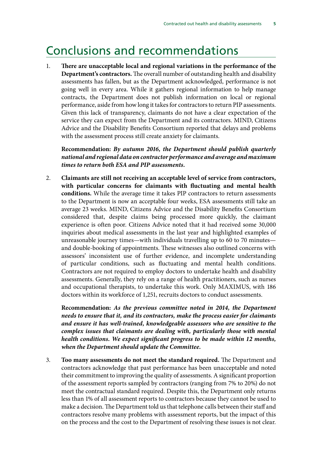### <span id="page-8-0"></span>Conclusions and recommendations

1. **There are unacceptable local and regional variations in the performance of the Department's contractors.** The overall number of outstanding health and disability assessments has fallen, but as the Department acknowledged, performance is not going well in every area. While it gathers regional information to help manage contracts, the Department does not publish information on local or regional performance, aside from how long it takes for contractors to return PIP assessments. Given this lack of transparency, claimants do not have a clear expectation of the service they can expect from the Department and its contractors. MIND, Citizens Advice and the Disability Benefits Consortium reported that delays and problems with the assessment process still create anxiety for claimants.

**Recommendation:** *By autumn 2016, the Department should publish quarterly national and regional data on contractor performance and average and maximum times to return both ESA and PIP assessments.*

2. **Claimants are still not receiving an acceptable level of service from contractors, with particular concerns for claimants with fluctuating and mental health conditions.** While the average time it takes PIP contractors to return assessments to the Department is now an acceptable four weeks, ESA assessments still take an average 23 weeks. MIND, Citizens Advice and the Disability Benefits Consortium considered that, despite claims being processed more quickly, the claimant experience is often poor. Citizens Advice noted that it had received some 30,000 inquiries about medical assessments in the last year and highlighted examples of unreasonable journey times—with individuals travelling up to 60 to 70 minutes and double-booking of appointments. These witnesses also outlined concerns with assessors' inconsistent use of further evidence, and incomplete understanding of particular conditions, such as fluctuating and mental health conditions. Contractors are not required to employ doctors to undertake health and disability assessments. Generally, they rely on a range of health practitioners, such as nurses and occupational therapists, to undertake this work. Only MAXIMUS, with 186 doctors within its workforce of 1,251, recruits doctors to conduct assessments.

**Recommendation:** *As the previous committee noted in 2014, the Department needs to ensure that it, and its contractors, make the process easier for claimants and ensure it has well-trained, knowledgeable assessors who are sensitive to the complex issues that claimants are dealing with, particularly those with mental health conditions. We expect significant progress to be made within 12 months, when the Department should update the Committee.*

3. **Too many assessments do not meet the standard required.** The Department and contractors acknowledge that past performance has been unacceptable and noted their commitment to improving the quality of assessments. A significant proportion of the assessment reports sampled by contractors (ranging from 7% to 20%) do not meet the contractual standard required. Despite this, the Department only returns less than 1% of all assessment reports to contractors because they cannot be used to make a decision. The Department told us that telephone calls between their staff and contractors resolve many problems with assessment reports, but the impact of this on the process and the cost to the Department of resolving these issues is not clear.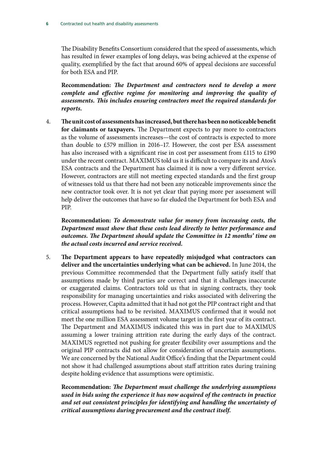The Disability Benefits Consortium considered that the speed of assessments, which has resulted in fewer examples of long delays, was being achieved at the expense of quality, exemplified by the fact that around 60% of appeal decisions are successful for both ESA and PIP.

**Recommendation:** *The Department and contractors need to develop a more complete and effective regime for monitoring and improving the quality of assessments. This includes ensuring contractors meet the required standards for reports.*

4. **The unit cost of assessments has increased, but there has been no noticeable benefit for claimants or taxpayers.** The Department expects to pay more to contractors as the volume of assessments increases—the cost of contracts is expected to more than double to £579 million in 2016–17. However, the cost per ESA assessment has also increased with a significant rise in cost per assessment from £115 to £190 under the recent contract. MAXIMUS told us it is difficult to compare its and Atos's ESA contracts and the Department has claimed it is now a very different service. However, contractors are still not meeting expected standards and the first group of witnesses told us that there had not been any noticeable improvements since the new contractor took over. It is not yet clear that paying more per assessment will help deliver the outcomes that have so far eluded the Department for both ESA and PIP.

**Recommendation:** *To demonstrate value for money from increasing costs, the Department must show that these costs lead directly to better performance and outcomes. The Department should update the Committee in 12 months' time on the actual costs incurred and service received.*

5. **The Department appears to have repeatedly misjudged what contractors can deliver and the uncertainties underlying what can be achieved.** In June 2014, the previous Committee recommended that the Department fully satisfy itself that assumptions made by third parties are correct and that it challenges inaccurate or exaggerated claims. Contractors told us that in signing contracts, they took responsibility for managing uncertainties and risks associated with delivering the process. However, Capita admitted that it had not got the PIP contract right and that critical assumptions had to be revisited. MAXIMUS confirmed that it would not meet the one million ESA assessment volume target in the first year of its contract. The Department and MAXIMUS indicated this was in part due to MAXIMUS assuming a lower training attrition rate during the early days of the contract. MAXIMUS regretted not pushing for greater flexibility over assumptions and the original PIP contracts did not allow for consideration of uncertain assumptions. We are concerned by the National Audit Office's finding that the Department could not show it had challenged assumptions about staff attrition rates during training despite holding evidence that assumptions were optimistic.

**Recommendation:** *The Department must challenge the underlying assumptions used in bids using the experience it has now acquired of the contracts in practice and set out consistent principles for identifying and handling the uncertainty of critical assumptions during procurement and the contract itself.*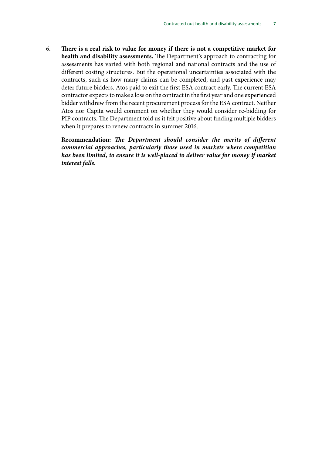6. **There is a real risk to value for money if there is not a competitive market for health and disability assessments.** The Department's approach to contracting for assessments has varied with both regional and national contracts and the use of different costing structures. But the operational uncertainties associated with the contracts, such as how many claims can be completed, and past experience may deter future bidders. Atos paid to exit the first ESA contract early. The current ESA contractor expects to make a loss on the contract in the first year and one experienced bidder withdrew from the recent procurement process for the ESA contract. Neither Atos nor Capita would comment on whether they would consider re-bidding for PIP contracts. The Department told us it felt positive about finding multiple bidders when it prepares to renew contracts in summer 2016.

**Recommendation:** *The Department should consider the merits of different commercial approaches, particularly those used in markets where competition has been limited, to ensure it is well-placed to deliver value for money if market interest falls.*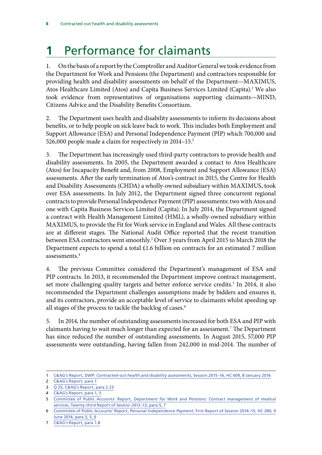# <span id="page-11-0"></span>**1** Performance for claimants

1. On the basis of a report by the Comptroller and Auditor General we took evidence from the Department for Work and Pensions (the Department) and contractors responsible for providing health and disability assessments on behalf of the Department—MAXIMUS, Atos Healthcare Limited (Atos) and Capita Business Services Limited (Capita).<sup>1</sup> We also took evidence from representatives of organisations supporting claimants—MIND, Citizens Advice and the Disability Benefits Consortium.

2. The Department uses health and disability assessments to inform its decisions about benefits, or to help people on sick leave back to work. This includes both Employment and Support Allowance (ESA) and Personal Independence Payment (PIP) which 700,000 and 526,000 people made a claim for respectively in 2014–15.<sup>2</sup>

3. The Department has increasingly used third-party contractors to provide health and disability assessments. In 2005, the Department awarded a contact to Atos Healthcare (Atos) for Incapacity Benefit and, from 2008, Employment and Support Allowance (ESA) assessments. After the early termination of Atos's contract in 2015, the Centre for Health and Disability Assessments (CHDA) a wholly-owned subsidiary within MAXIMUS, took over ESA assessments. In July 2012, the Department signed three concurrent regional contracts to provide Personal Independence Payment (PIP) assessments: two with Atos and one with Capita Business Services Limited (Capita). In July 2014, the Department signed a contract with Health Management Limited (HML), a wholly-owned subsidiary within MAXIMUS, to provide the Fit for Work service in England and Wales. All these contracts are at different stages. The National Audit Office reported that the recent transition between ESA contractors went smoothly.3 Over 3 years from April 2015 to March 2018 the Department expects to spend a total £1.6 billion on contracts for an estimated 7 million assessments.4

4. The previous Committee considered the Department's management of ESA and PIP contracts. In 2013, it recommended the Department improve contract management, set more challenging quality targets and better enforce service credits.<sup>5</sup> In 2014, it also recommended the Department challenges assumptions made by bidders and ensures it, and its contractors, provide an acceptable level of service to claimants whilst speeding up all stages of the process to tackle the backlog of cases.<sup>6</sup>

5. In 2014, the number of outstanding assessments increased for both ESA and PIP with claimants having to wait much longer than expected for an assessment.<sup>7</sup> The Department has since reduced the number of outstanding assessments. In August 2015, 57,000 PIP assessments were outstanding, having fallen from 242,000 in mid-2014. The number of

<sup>1</sup> C&AG's Report, *[DWP: Contracted-out health and disability assessments](https://www.nao.org.uk/wp-content/uploads/2016/01/Contracted-out-health-and-disability-assessments.pdf)*, Session 2015–16, HC 609, 8 January 2016

<sup>2</sup> [C&AG's Report, para 1](https://www.nao.org.uk/wp-content/uploads/2016/01/Contracted-out-health-and-disability-assessments.pdf)

<sup>3</sup> Q [25,](http://data.parliament.uk/writtenevidence/committeeevidence.svc/evidencedocument/public-accounts-committee/contracted-out-health-and-disability-assessments/oral/28373.html) [C&AG's Report, para 2.23](https://www.nao.org.uk/wp-content/uploads/2016/01/Contracted-out-health-and-disability-assessments.pdf)

<sup>4</sup> [C&AG's Report, para 1, 3](https://www.nao.org.uk/wp-content/uploads/2016/01/Contracted-out-health-and-disability-assessments.pdf)

<sup>5</sup> Committee of Public Accounts' Report, *[Department for Work and Pensions: Contract management of medical](http://www.publications.parliament.uk/pa/cm201213/cmselect/cmpubacc/744/744.pdf) services*[, Twenty-third Report of Session 2012–13, para 5, 7](http://www.publications.parliament.uk/pa/cm201213/cmselect/cmpubacc/744/744.pdf)

<sup>6</sup> Committee of Public Accounts' Report, *Personal Independence Payment*[, First Report of Session 2014–15, HC 280, 9](http://www.publications.parliament.uk/pa/cm201415/cmselect/cmpubacc/280/280.pdf) [June 2014, para 3, 5, 6](http://www.publications.parliament.uk/pa/cm201415/cmselect/cmpubacc/280/280.pdf)

<sup>7</sup> [C&AG's Report, para 1.8](https://www.nao.org.uk/wp-content/uploads/2016/01/Contracted-out-health-and-disability-assessments.pdf)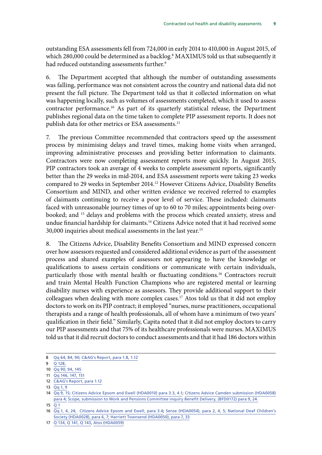outstanding ESA assessments fell from 724,000 in early 2014 to 410,000 in August 2015, of which 280,000 could be determined as a backlog.<sup>8</sup> MAXIMUS told us that subsequently it had reduced outstanding assessments further.<sup>9</sup>

6. The Department accepted that although the number of outstanding assessments was falling, performance was not consistent across the country and national data did not present the full picture. The Department told us that it collected information on what was happening locally, such as volumes of assessments completed, which it used to assess contractor performance.<sup>10</sup> As part of its quarterly statistical release, the Department publishes regional data on the time taken to complete PIP assessment reports. It does not publish data for other metrics or ESA assessments.<sup>11</sup>

7. The previous Committee recommended that contractors speed up the assessment process by minimising delays and travel times, making home visits when arranged, improving administrative processes and providing better information to claimants. Contractors were now completing assessment reports more quickly. In August 2015, PIP contractors took an average of 4 weeks to complete assessment reports, significantly better than the 29 weeks in mid-2014, and ESA assessment reports were taking 23 weeks compared to 29 weeks in September 2014.12 However Citizens Advice, Disability Benefits Consortium and MIND, and other written evidence we received referred to examples of claimants continuing to receive a poor level of service. These included: claimants faced with unreasonable journey times of up to 60 to 70 miles; appointments being overbooked; and 13 delays and problems with the process which created anxiety, stress and undue financial hardship for claimants.<sup>14</sup> Citizens Advice noted that it had received some 30,000 inquiries about medical assessments in the last year.15

8. The Citizens Advice, Disability Benefits Consortium and MIND expressed concern over how assessors requested and considered additional evidence as part of the assessment process and shared examples of assessors not appearing to have the knowledge or qualifications to assess certain conditions or communicate with certain individuals, particularly those with mental health or fluctuating conditions.<sup>16</sup> Contractors recruit and train Mental Health Function Champions who are registered mental or learning disability nurses with experience as assessors. They provide additional support to their colleagues when dealing with more complex cases.<sup>17</sup> Atos told us that it did not employ doctors to work on its PIP contract; it employed "nurses, nurse practitioners, occupational therapists and a range of health professionals, all of whom have a minimum of two years' qualification in their field." Similarly, Capita noted that it did not employ doctors to carry our PIP assessments and that 75% of its healthcare professionals were nurses. MAXIMUS told us that it did recruit doctors to conduct assessments and that it had 186 doctors within

13  $\overline{Qq}$  [1, 9](http://data.parliament.uk/writtenevidence/committeeevidence.svc/evidencedocument/public-accounts-committee/contracted-out-health-and-disability-assessments/oral/28373.html)

 $15$   $\overline{01}$ 

<sup>8</sup> Qq [64, 84, 90;](http://data.parliament.uk/writtenevidence/committeeevidence.svc/evidencedocument/public-accounts-committee/contracted-out-health-and-disability-assessments/oral/28373.html) [C&AG's Report, para 1.8, 1.12](https://www.nao.org.uk/wp-content/uploads/2016/01/Contracted-out-health-and-disability-assessments.pdf)

<sup>9</sup> Q [128,](http://data.parliament.uk/writtenevidence/committeeevidence.svc/evidencedocument/public-accounts-committee/contracted-out-health-and-disability-assessments/oral/28373.html)

<sup>10</sup> Qq [90, 94, 145](http://data.parliament.uk/writtenevidence/committeeevidence.svc/evidencedocument/public-accounts-committee/contracted-out-health-and-disability-assessments/oral/28373.html)

<sup>11</sup> Qq [146, 147, 151](http://data.parliament.uk/writtenevidence/committeeevidence.svc/evidencedocument/public-accounts-committee/contracted-out-health-and-disability-assessments/oral/28373.html)

<sup>12</sup> [C&AG's Report, para 1.12](https://www.nao.org.uk/wp-content/uploads/2016/01/Contracted-out-health-and-disability-assessments.pdf)

<sup>14</sup> Qq [9, 15;](http://data.parliament.uk/writtenevidence/committeeevidence.svc/evidencedocument/public-accounts-committee/contracted-out-health-and-disability-assessments/oral/28373.html) [Citizens Advice Epsom and Ewell \(HDA0010\) para 3.3, 4.1](http://data.parliament.uk/writtenevidence/committeeevidence.svc/evidencedocument/public-accounts-committee/contracted-out-health-and-disability-assessments/written/27599.pdf); [Citizens Advice Camden submission \(HDA0058\)](http://data.parliament.uk/writtenevidence/committeeevidence.svc/evidencedocument/public-accounts-committee/contracted-out-health-and-disability-assessments/written/28241.pdf) [para 4;](http://data.parliament.uk/writtenevidence/committeeevidence.svc/evidencedocument/public-accounts-committee/contracted-out-health-and-disability-assessments/written/28241.pdf) [Scope, submission to Work and Pensions Committee inquiry Benefit Delivery, \(BFD0172\) para 9, 24.](http://data.parliament.uk/writtenevidence/committeeevidence.svc/evidencedocument/work-and-pensions-committee/benefit-delivery/written/20877.pdf)

<sup>16</sup> Qq [1, 4, 24;](http://data.parliament.uk/writtenevidence/committeeevidence.svc/evidencedocument/public-accounts-committee/contracted-out-health-and-disability-assessments/oral/28373.html) [Citizens Advice Epsom and Ewell, para 3.4;](http://data.parliament.uk/writtenevidence/committeeevidence.svc/evidencedocument/public-accounts-committee/contracted-out-health-and-disability-assessments/written/27599.pdf) [Sense \(HDA0054\), para 2, 4, 5](http://data.parliament.uk/writtenevidence/committeeevidence.svc/evidencedocument/public-accounts-committee/contracted-out-health-and-disability-assessments/written/27761.pdf)[; National Deaf Children's](http://data.parliament.uk/writtenevidence/committeeevidence.svc/evidencedocument/public-accounts-committee/contracted-out-health-and-disability-assessments/written/27720.pdf) [Society \(HDA0028\), para 6, 7; Harriett Townsend \(HDA0050\), para 7, 33](http://data.parliament.uk/writtenevidence/committeeevidence.svc/evidencedocument/public-accounts-committee/contracted-out-health-and-disability-assessments/written/27720.pdf)

<sup>17</sup> Q [134, Q](http://data.parliament.uk/writtenevidence/committeeevidence.svc/evidencedocument/public-accounts-committee/contracted-out-health-and-disability-assessments/oral/28373.html) 141, Q 143, [Atos \(HDA0059\)](http://data.parliament.uk/writtenevidence/committeeevidence.svc/evidencedocument/public-accounts-committee/contracted-out-health-and-disability-assessments/written/28870.pdf)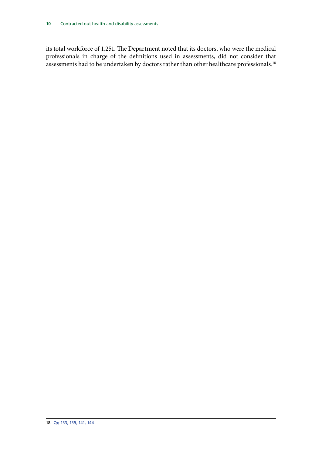its total workforce of 1,251. The Department noted that its doctors, who were the medical professionals in charge of the definitions used in assessments, did not consider that assessments had to be undertaken by doctors rather than other healthcare professionals.<sup>18</sup>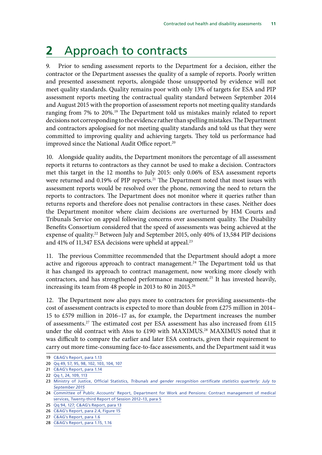## <span id="page-14-0"></span>**2** Approach to contracts

9. Prior to sending assessment reports to the Department for a decision, either the contractor or the Department assesses the quality of a sample of reports. Poorly written and presented assessment reports, alongside those unsupported by evidence will not meet quality standards. Quality remains poor with only 13% of targets for ESA and PIP assessment reports meeting the contractual quality standard between September 2014 and August 2015 with the proportion of assessment reports not meeting quality standards ranging from 7% to 20%.19 The Department told us mistakes mainly related to report decisions not corresponding to the evidence rather than spelling mistakes. The Department and contractors apologised for not meeting quality standards and told us that they were committed to improving quality and achieving targets. They told us performance had improved since the National Audit Office report.<sup>20</sup>

10. Alongside quality audits, the Department monitors the percentage of all assessment reports it returns to contractors as they cannot be used to make a decision. Contractors met this target in the 12 months to July 2015: only 0.06% of ESA assessment reports were returned and 0.19% of PIP reports.<sup>21</sup> The Department noted that most issues with assessment reports would be resolved over the phone, removing the need to return the reports to contractors. The Department does not monitor where it queries rather than returns reports and therefore does not penalise contractors in these cases. Neither does the Department monitor where claim decisions are overturned by HM Courts and Tribunals Service on appeal following concerns over assessment quality. The Disability Benefits Consortium considered that the speed of assessments was being achieved at the expense of quality.<sup>22</sup> Between July and September 2015, only 40% of 13,584 PIP decisions and 41% of 11,347 ESA decisions were upheld at appeal.<sup>23</sup>

11. The previous Committee recommended that the Department should adopt a more active and rigorous approach to contract management.<sup>24</sup> The Department told us that it has changed its approach to contract management, now working more closely with contractors, and has strengthened performance management.<sup>25</sup> It has invested heavily, increasing its team from 48 people in 2013 to 80 in 2015.<sup>26</sup>

12. The Department now also pays more to contractors for providing assessments–the cost of assessment contracts is expected to more than double from £275 million in 2014– 15 to £579 million in 2016–17 as, for example, the Department increases the number of assessments.27 The estimated cost per ESA assessment has also increased from £115 under the old contract with Atos to £190 with MAXIMUS.<sup>28</sup> MAXIMUS noted that it was difficult to compare the earlier and later ESA contracts, given their requirement to carry out more time-consuming face-to-face assessments, and the Department said it was

<sup>19</sup> [C&AG's Report, para 1.13](https://www.nao.org.uk/wp-content/uploads/2016/01/Contracted-out-health-and-disability-assessments.pdf)

<sup>20</sup> Qq [49, 57, 95, 98, 102, 103, 104, 107](http://data.parliament.uk/writtenevidence/committeeevidence.svc/evidencedocument/public-accounts-committee/contracted-out-health-and-disability-assessments/oral/28373.html)

<sup>21</sup> [C&AG's Report, para 1.14](https://www.nao.org.uk/wp-content/uploads/2016/01/Contracted-out-health-and-disability-assessments.pdf)

<sup>22</sup> Qq [1, 24, 109, 113](http://data.parliament.uk/writtenevidence/committeeevidence.svc/evidencedocument/public-accounts-committee/contracted-out-health-and-disability-assessments/oral/28373.html)

<sup>23</sup> Ministry of Justice, Official Statistics, *[Tribunals and gender recognition certificate statistics quarterly: July to](https://www.gov.uk/government/uploads/system/uploads/attachment_data/file/483761/tribunals-grc-bulletin-q2-2015.pdf) [September 2015](https://www.gov.uk/government/uploads/system/uploads/attachment_data/file/483761/tribunals-grc-bulletin-q2-2015.pdf)*

<sup>24</sup> [Committee of Public Accounts' Report, Department for Work and Pensions: Contract management of medical](http://www.publications.parliament.uk/pa/cm201213/cmselect/cmpubacc/744/744.pdf) [services, Twenty-third Report of Session 2012–13, para 5](http://www.publications.parliament.uk/pa/cm201213/cmselect/cmpubacc/744/744.pdf)

<sup>25</sup> Qq [94, 127;](http://data.parliament.uk/writtenevidence/committeeevidence.svc/evidencedocument/public-accounts-committee/contracted-out-health-and-disability-assessments/oral/28373.html) [C&AG's Report, para 13](https://www.nao.org.uk/wp-content/uploads/2016/01/Contracted-out-health-and-disability-assessments.pdf)

<sup>26</sup> [C&AG's Report, para 2.4, Figure 15](https://www.nao.org.uk/wp-content/uploads/2016/01/Contracted-out-health-and-disability-assessments.pdf)

<sup>27</sup> [C&AG's Report, para 1.6](https://www.nao.org.uk/wp-content/uploads/2016/01/Contracted-out-health-and-disability-assessments.pdf)

<sup>28</sup> [C&AG's Report, para 1.15, 1.16](https://www.nao.org.uk/wp-content/uploads/2016/01/Contracted-out-health-and-disability-assessments.pdf)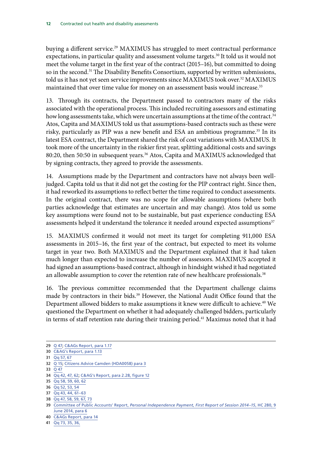buying a different service.<sup>29</sup> MAXIMUS has struggled to meet contractual performance expectations, in particular quality and assessment volume targets.<sup>30</sup> It told us it would not meet the volume target in the first year of the contract (2015–16), but committed to doing so in the second.<sup>31</sup> The Disability Benefits Consortium, supported by written submissions, told us it has not yet seen service improvements since MAXIMUS took over.<sup>32</sup> MAXIMUS maintained that over time value for money on an assessment basis would increase.<sup>33</sup>

13. Through its contracts, the Department passed to contractors many of the risks associated with the operational process. This included recruiting assessors and estimating how long assessments take, which were uncertain assumptions at the time of the contract.<sup>34</sup> Atos, Capita and MAXIMUS told us that assumptions-based contracts such as these were risky, particularly as PIP was a new benefit and ESA an ambitious programme.<sup>35</sup> In its latest ESA contract, the Department shared the risk of cost variations with MAXIMUS. It took more of the uncertainty in the riskier first year, splitting additional costs and savings 80:20, then 50:50 in subsequent years.<sup>36</sup> Atos, Capita and MAXIMUS acknowledged that by signing contracts, they agreed to provide the assessments.

14. Assumptions made by the Department and contractors have not always been welljudged. Capita told us that it did not get the costing for the PIP contract right. Since then, it had reworked its assumptions to reflect better the time required to conduct assessments. In the original contract, there was no scope for allowable assumptions (where both parties acknowledge that estimates are uncertain and may change). Atos told us some key assumptions were found not to be sustainable, but past experience conducting ESA assessments helped it understand the tolerance it needed around expected assumptions<sup>37</sup>

15. MAXIMUS confirmed it would not meet its target for completing 911,000 ESA assessments in 2015–16, the first year of the contract, but expected to meet its volume target in year two. Both MAXIMUS and the Department explained that it had taken much longer than expected to increase the number of assessors. MAXIMUS accepted it had signed an assumptions-based contract, although in hindsight wished it had negotiated an allowable assumption to cover the retention rate of new healthcare professionals.<sup>38</sup>

16. The previous committee recommended that the Department challenge claims made by contractors in their bids.<sup>39</sup> However, the National Audit Office found that the Department allowed bidders to make assumptions it knew were difficult to achieve.<sup>40</sup> We questioned the Department on whether it had adequately challenged bidders, particularly in terms of staff retention rate during their training period.<sup>41</sup> Maximus noted that it had

<sup>29</sup> Q [47](http://data.parliament.uk/writtenevidence/committeeevidence.svc/evidencedocument/public-accounts-committee/contracted-out-health-and-disability-assessments/oral/28373.html); [C&AGs Report, para 1.17](https://www.nao.org.uk/wp-content/uploads/2016/01/Contracted-out-health-and-disability-assessments.pdf)

<sup>30</sup> [C&AG's Report, para 1.13](https://www.nao.org.uk/wp-content/uploads/2016/01/Contracted-out-health-and-disability-assessments.pdf)

<sup>31</sup> Qq [57, 67](http://data.parliament.uk/writtenevidence/committeeevidence.svc/evidencedocument/public-accounts-committee/contracted-out-health-and-disability-assessments/oral/28373.html)

<sup>32</sup> Q [15](http://data.parliament.uk/writtenevidence/committeeevidence.svc/evidencedocument/public-accounts-committee/contracted-out-health-and-disability-assessments/oral/28373.html); [Citizens Advice Camden \(HDA0058\) para 3](http://data.parliament.uk/writtenevidence/committeeevidence.svc/evidencedocument/public-accounts-committee/contracted-out-health-and-disability-assessments/written/28241.pdf)

<sup>33</sup> Q [47](http://data.parliament.uk/writtenevidence/committeeevidence.svc/evidencedocument/public-accounts-committee/contracted-out-health-and-disability-assessments/oral/28373.html)

<sup>34</sup> Qq [42, 47, 62](http://data.parliament.uk/writtenevidence/committeeevidence.svc/evidencedocument/public-accounts-committee/contracted-out-health-and-disability-assessments/oral/28373.html); [C&AG's Report, para 2.28, figure 12](https://www.nao.org.uk/wp-content/uploads/2016/01/Contracted-out-health-and-disability-assessments.pdf)

<sup>35</sup> Qq [58, 59, 60, 62](http://data.parliament.uk/writtenevidence/committeeevidence.svc/evidencedocument/public-accounts-committee/contracted-out-health-and-disability-assessments/oral/28373.html)

<sup>36</sup> Qq [52, 53, 54](http://data.parliament.uk/writtenevidence/committeeevidence.svc/evidencedocument/public-accounts-committee/contracted-out-health-and-disability-assessments/oral/28373.html)

<sup>37</sup> Qq [43, 44, 61–63](http://data.parliament.uk/writtenevidence/committeeevidence.svc/evidencedocument/public-accounts-committee/contracted-out-health-and-disability-assessments/oral/28373.html)

<sup>38</sup> Qq [47, 58, 59, 67, 73](http://data.parliament.uk/writtenevidence/committeeevidence.svc/evidencedocument/public-accounts-committee/contracted-out-health-and-disability-assessments/oral/28373.html)

<sup>39</sup> Committee of Public Accounts' Report, *[Personal Independence Payment, First Report of Session 2014–15](http://www.publications.parliament.uk/pa/cm201415/cmselect/cmpubacc/280/280.pdf)*, HC 280, 9 [June 2014, para 6](http://www.publications.parliament.uk/pa/cm201415/cmselect/cmpubacc/280/280.pdf)

<sup>40</sup> [C&AGs Report, para 14](https://www.nao.org.uk/wp-content/uploads/2016/01/Contracted-out-health-and-disability-assessments.pdf)

<sup>41</sup> Qq [73, 35, 36,](http://data.parliament.uk/writtenevidence/committeeevidence.svc/evidencedocument/public-accounts-committee/contracted-out-health-and-disability-assessments/oral/28373.html)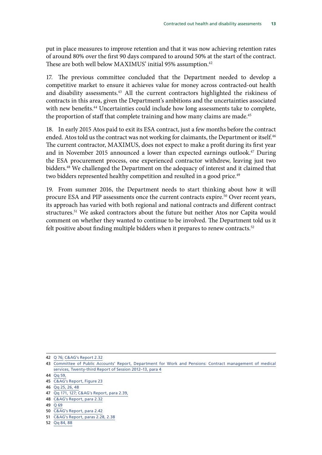put in place measures to improve retention and that it was now achieving retention rates of around 80% over the first 90 days compared to around 50% at the start of the contract. These are both well below MAXIMUS' initial 95% assumption.<sup>42</sup>

17. The previous committee concluded that the Department needed to develop a competitive market to ensure it achieves value for money across contracted-out health and disability assessments.<sup>43</sup> All the current contractors highlighted the riskiness of contracts in this area, given the Department's ambitions and the uncertainties associated with new benefits.<sup>44</sup> Uncertainties could include how long assessments take to complete, the proportion of staff that complete training and how many claims are made.<sup>45</sup>

18. In early 2015 Atos paid to exit its ESA contract, just a few months before the contract ended. Atos told us the contract was not working for claimants, the Department or itself.<sup>46</sup> The current contractor, MAXIMUS, does not expect to make a profit during its first year and in November 2015 announced a lower than expected earnings outlook.<sup>47</sup> During the ESA procurement process, one experienced contractor withdrew, leaving just two bidders.<sup>48</sup> We challenged the Department on the adequacy of interest and it claimed that two bidders represented healthy competition and resulted in a good price.<sup>49</sup>

19. From summer 2016, the Department needs to start thinking about how it will procure ESA and PIP assessments once the current contracts expire.<sup>50</sup> Over recent years, its approach has varied with both regional and national contracts and different contract structures.<sup>51</sup> We asked contractors about the future but neither Atos nor Capita would comment on whether they wanted to continue to be involved. The Department told us it felt positive about finding multiple bidders when it prepares to renew contracts.<sup>52</sup>

- 47 Qq [171, 127](http://data.parliament.uk/writtenevidence/committeeevidence.svc/evidencedocument/public-accounts-committee/contracted-out-health-and-disability-assessments/oral/28373.html)[; C&AG's Report, para 2.39,](https://www.nao.org.uk/wp-content/uploads/2016/01/Contracted-out-health-and-disability-assessments.pdf)
- 48 [C&AG's Report, para 2.32](https://www.nao.org.uk/wp-content/uploads/2016/01/Contracted-out-health-and-disability-assessments.pdf)
- $49 \overline{0}69$  $49 \overline{0}69$
- 50 [C&AG's Report, para 2.42](https://www.nao.org.uk/wp-content/uploads/2016/01/Contracted-out-health-and-disability-assessments.pdf)
- 51 [C&AG's Report, paras 2.28, 2.38](https://www.nao.org.uk/wp-content/uploads/2016/01/Contracted-out-health-and-disability-assessments.pdf)
- 52 Qq [84, 88](http://data.parliament.uk/writtenevidence/committeeevidence.svc/evidencedocument/public-accounts-committee/contracted-out-health-and-disability-assessments/oral/28373.html)

<sup>42</sup> Q [76;](http://data.parliament.uk/writtenevidence/committeeevidence.svc/evidencedocument/public-accounts-committee/contracted-out-health-and-disability-assessments/oral/28373.html) [C&AG's Report 2.32](https://www.nao.org.uk/wp-content/uploads/2016/01/Contracted-out-health-and-disability-assessments.pdf)

<sup>43</sup> [Committee of Public Accounts' Report, Department for Work and Pensions: Contract management of medical](http://www.publications.parliament.uk/pa/cm201213/cmselect/cmpubacc/744/744.pdf) [services, Twenty-third Report of Session 2012–13, para 4](http://www.publications.parliament.uk/pa/cm201213/cmselect/cmpubacc/744/744.pdf)

<sup>44</sup> [Qq](http://data.parliament.uk/writtenevidence/committeeevidence.svc/evidencedocument/public-accounts-committee/contracted-out-health-and-disability-assessments/oral/28373.html) 59,

<sup>45</sup> [C&AG's Report, Figure 23](https://www.nao.org.uk/wp-content/uploads/2016/01/Contracted-out-health-and-disability-assessments.pdf)

<sup>46</sup> Qq [25, 26, 48](http://data.parliament.uk/writtenevidence/committeeevidence.svc/evidencedocument/public-accounts-committee/contracted-out-health-and-disability-assessments/oral/28373.html)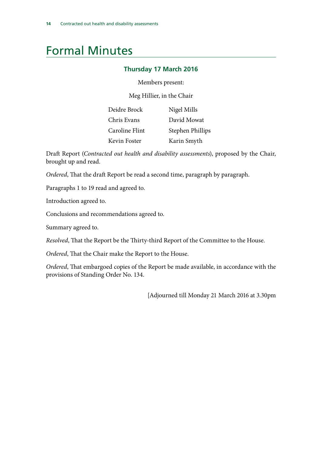## <span id="page-17-0"></span>Formal Minutes

### **Thursday 17 March 2016**

Members present:

Meg Hillier, in the Chair

| Deidre Brock   | Nigel Mills      |
|----------------|------------------|
| Chris Evans    | David Mowat      |
| Caroline Flint | Stephen Phillips |
| Kevin Foster   | Karin Smyth      |

Draft Report (*Contracted out health and disability assessments*), proposed by the Chair, brought up and read.

*Ordered*, That the draft Report be read a second time, paragraph by paragraph.

Paragraphs 1 to 19 read and agreed to.

Introduction agreed to.

Conclusions and recommendations agreed to.

Summary agreed to.

*Resolved*, That the Report be the Thirty-third Report of the Committee to the House.

*Ordered*, That the Chair make the Report to the House.

*Ordered*, That embargoed copies of the Report be made available, in accordance with the provisions of Standing Order No. 134.

[Adjourned till Monday 21 March 2016 at 3.30pm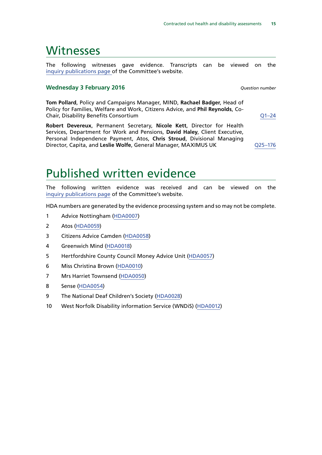### <span id="page-18-0"></span>**Witnesses**

The following witnesses gave evidence. Transcripts can be viewed on the [inquiry publications page](http://www.parliament.uk/business/committees/committees-a-z/commons-select/public-accounts-committee/inquiries/parliament-2015/contracted-out-health-disability-assessments-15-16/) of the Committee's website.

### **Wednesday 3 February 2016** *Question number*

**Tom Pollard**, Policy and Campaigns Manager, MIND, **Rachael Badger**, Head of Policy for Families, Welfare and Work, Citizens Advice, and **Phil Reynolds**, Co-Chair, Disability Benefits Consortium [Q1–24](http://data.parliament.uk/writtenevidence/committeeevidence.svc/evidencedocument/public-accounts-committee/contracted-out-health-and-disability-assessments/oral/28373.html)

**Robert Devereux**, Permanent Secretary, **Nicole Kett**, Director for Health Services, Department for Work and Pensions, **David Haley**, Client Executive, Personal Independence Payment, Atos, **Chris Stroud**, Divisional Managing Director, Capita, and **Leslie Wolfe**, General Manager, MAXIMUS UK [Q25–176](http://data.parliament.uk/writtenevidence/committeeevidence.svc/evidencedocument/public-accounts-committee/contracted-out-health-and-disability-assessments/oral/28373.html)

### Published written evidence

The following written evidence was received and can be viewed on the [inquiry publications page](http://www.parliament.uk/business/committees/committees-a-z/commons-select/public-accounts-committee/inquiries/parliament-2015/contracted-out-health-disability-assessments-15-16/) of the Committee's website.

HDA numbers are generated by the evidence processing system and so may not be complete.

- 1 Advice Nottingham ([HDA0007\)](http://data.parliament.uk/WrittenEvidence/CommitteeEvidence.svc/EvidenceDocument/Public%20Accounts/Contracted%20out%20health%20and%20disability%20assessments/written/27548.html)
- 2 Atos [\(HDA0059](http://data.parliament.uk/writtenevidence/committeeevidence.svc/evidencedocument/public-accounts-committee/contracted-out-health-and-disability-assessments/written/28870.html))
- 3 Citizens Advice Camden [\(HDA0058](http://data.parliament.uk/WrittenEvidence/CommitteeEvidence.svc/EvidenceDocument/Public%20Accounts/Contracted%20out%20health%20and%20disability%20assessments/written/28241.html))
- 4 Greenwich Mind ([HDA0018](http://data.parliament.uk/WrittenEvidence/CommitteeEvidence.svc/EvidenceDocument/Public%20Accounts/Contracted%20out%20health%20and%20disability%20assessments/written/27681.html))
- 5 Hertfordshire County Council Money Advice Unit ([HDA0057](http://data.parliament.uk/WrittenEvidence/CommitteeEvidence.svc/EvidenceDocument/Public%20Accounts/Contracted%20out%20health%20and%20disability%20assessments/written/28240.html))
- 6 Miss Christina Brown [\(HDA0010\)](http://data.parliament.uk/WrittenEvidence/CommitteeEvidence.svc/EvidenceDocument/Public%20Accounts/Contracted%20out%20health%20and%20disability%20assessments/written/27599.html)
- 7 Mrs Harriet Townsend ([HDA0050](http://data.parliament.uk/WrittenEvidence/CommitteeEvidence.svc/EvidenceDocument/Public%20Accounts/Contracted%20out%20health%20and%20disability%20assessments/written/27755.html))
- 8 Sense ([HDA0054](http://data.parliament.uk/WrittenEvidence/CommitteeEvidence.svc/EvidenceDocument/Public%20Accounts/Contracted%20out%20health%20and%20disability%20assessments/written/27761.html))
- 9 The National Deaf Children's Society ([HDA0028](http://data.parliament.uk/WrittenEvidence/CommitteeEvidence.svc/EvidenceDocument/Public%20Accounts/Contracted%20out%20health%20and%20disability%20assessments/written/27720.html))
- 10 West Norfolk Disability information Service (WNDiS) [\(HDA0012](http://data.parliament.uk/WrittenEvidence/CommitteeEvidence.svc/EvidenceDocument/Public%20Accounts/Contracted%20out%20health%20and%20disability%20assessments/written/27649.html))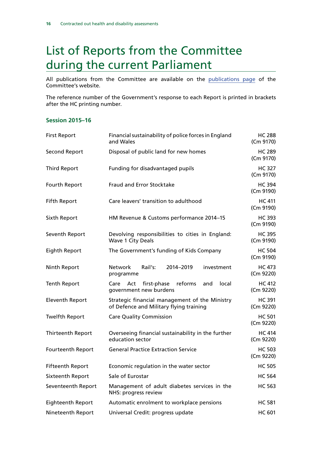## <span id="page-19-0"></span>List of Reports from the Committee during the current Parliament

All publications from the Committee are available on the [publications page](http://www.parliament.uk/business/committees/committees-a-z/commons-select/public-accounts-committee/publications/) of the Committee's website.

The reference number of the Government's response to each Report is printed in brackets after the HC printing number.

### **Session 2015–16**

| <b>First Report</b>      | Financial sustainability of police forces in England<br>and Wales                         | <b>HC 288</b><br>(Cm 9170) |
|--------------------------|-------------------------------------------------------------------------------------------|----------------------------|
| <b>Second Report</b>     | Disposal of public land for new homes                                                     | <b>HC 289</b><br>(Cm 9170) |
| <b>Third Report</b>      | Funding for disadvantaged pupils                                                          | <b>HC 327</b><br>(Cm 9170) |
| Fourth Report            | <b>Fraud and Error Stocktake</b>                                                          | <b>HC 394</b><br>(Cm 9190) |
| <b>Fifth Report</b>      | Care leavers' transition to adulthood                                                     | <b>HC 411</b><br>(Cm 9190) |
| Sixth Report             | HM Revenue & Customs performance 2014-15                                                  | <b>HC 393</b><br>(Cm 9190) |
| Seventh Report           | Devolving responsibilities to cities in England:<br>Wave 1 City Deals                     | <b>HC 395</b><br>(Cm 9190) |
| Eighth Report            | The Government's funding of Kids Company                                                  | <b>HC 504</b><br>(Cm 9190) |
| Ninth Report             | Rail's:<br><b>Network</b><br>2014-2019<br>investment<br>programme                         | <b>HC 473</b><br>(Cm 9220) |
| <b>Tenth Report</b>      | first-phase<br>reforms<br>local<br>Care<br>Act<br>and<br>government new burdens           | <b>HC 412</b><br>(Cm 9220) |
| <b>Eleventh Report</b>   | Strategic financial management of the Ministry<br>of Defence and Military flying training | <b>HC 391</b><br>(Cm 9220) |
| <b>Twelfth Report</b>    | <b>Care Quality Commission</b>                                                            | <b>HC 501</b><br>(Cm 9220) |
| <b>Thirteenth Report</b> | Overseeing financial sustainability in the further<br>education sector                    | <b>HC 414</b><br>(Cm 9220) |
| Fourteenth Report        | <b>General Practice Extraction Service</b>                                                | <b>HC 503</b><br>(Cm 9220) |
| <b>Fifteenth Report</b>  | Economic regulation in the water sector                                                   | <b>HC 505</b>              |
| <b>Sixteenth Report</b>  | Sale of Eurostar                                                                          | <b>HC 564</b>              |
| Seventeenth Report       | Management of adult diabetes services in the<br>NHS: progress review                      | <b>HC 563</b>              |
| Eighteenth Report        | Automatic enrolment to workplace pensions                                                 | <b>HC 581</b>              |
| Nineteenth Report        | Universal Credit: progress update                                                         | HC 601                     |